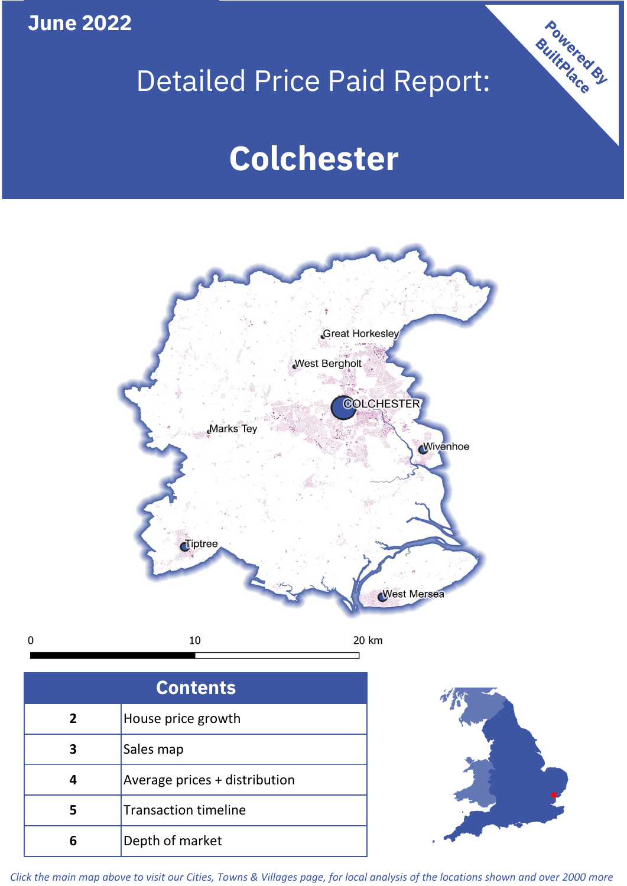**June 2022**

 $\mathbf 0$ 

## Detailed Price Paid Report:

# **Colchester**



| <b>Contents</b> |                               |  |  |
|-----------------|-------------------------------|--|--|
| $\overline{2}$  | House price growth            |  |  |
| 3               | Sales map                     |  |  |
| 4               | Average prices + distribution |  |  |
| 5               | <b>Transaction timeline</b>   |  |  |
|                 | Depth of market               |  |  |



Powered By

*Click the main map above to visit our Cities, Towns & Villages page, for local analysis of the locations shown and over 2000 more*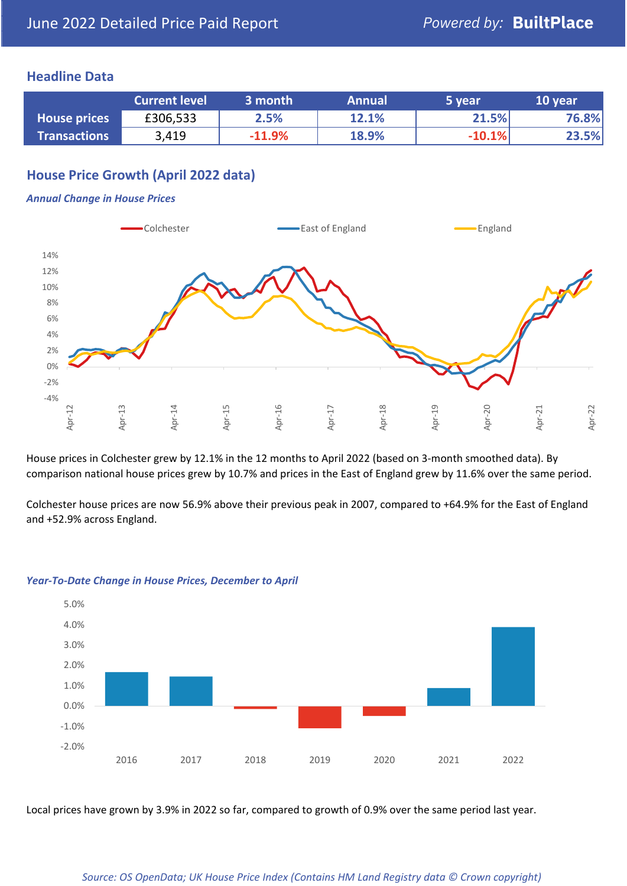## **Headline Data**

|                     | <b>Current level</b> | 3 month  | <b>Annual</b> | 5 year   | 10 year |
|---------------------|----------------------|----------|---------------|----------|---------|
| <b>House prices</b> | £306,533             | 2.5%     | 12.1%         | 21.5%    | 76.8%   |
| <b>Transactions</b> | 3,419                | $-11.9%$ | 18.9%         | $-10.1%$ | 23.5%   |

## **House Price Growth (April 2022 data)**

#### *Annual Change in House Prices*



House prices in Colchester grew by 12.1% in the 12 months to April 2022 (based on 3-month smoothed data). By comparison national house prices grew by 10.7% and prices in the East of England grew by 11.6% over the same period.

Colchester house prices are now 56.9% above their previous peak in 2007, compared to +64.9% for the East of England and +52.9% across England.



#### *Year-To-Date Change in House Prices, December to April*

Local prices have grown by 3.9% in 2022 so far, compared to growth of 0.9% over the same period last year.

#### *Source: OS OpenData; UK House Price Index (Contains HM Land Registry data © Crown copyright)*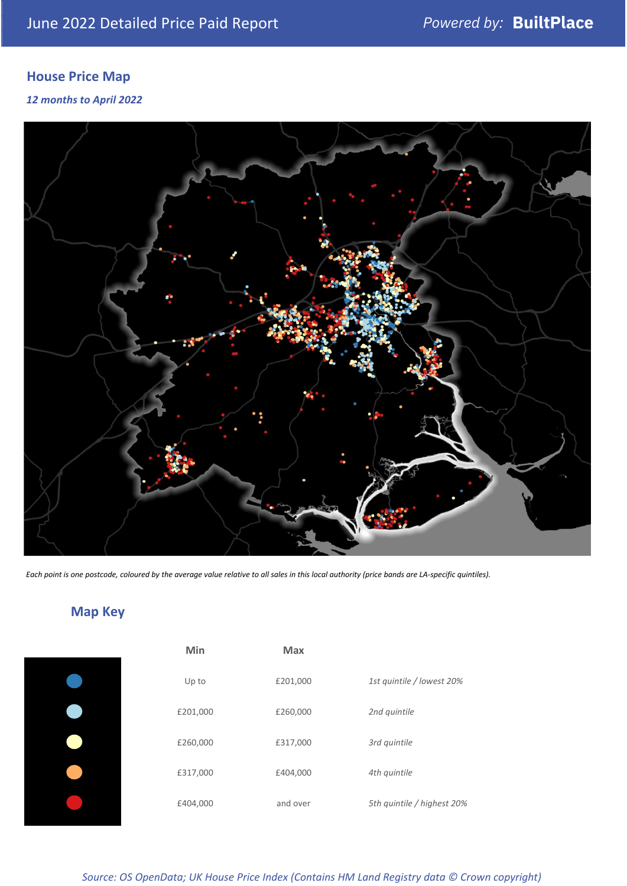## **House Price Map**

### *12 months to April 2022*



*Each point is one postcode, coloured by the average value relative to all sales in this local authority (price bands are LA-specific quintiles).*

## **Map Key**

| Min      | Max      |                            |
|----------|----------|----------------------------|
| Up to    | £201,000 | 1st quintile / lowest 20%  |
| £201,000 | £260,000 | 2nd quintile               |
| £260,000 | £317,000 | 3rd quintile               |
| £317,000 | £404,000 | 4th quintile               |
| £404,000 | and over | 5th quintile / highest 20% |

*Source: OS OpenData; UK House Price Index (Contains HM Land Registry data © Crown copyright)*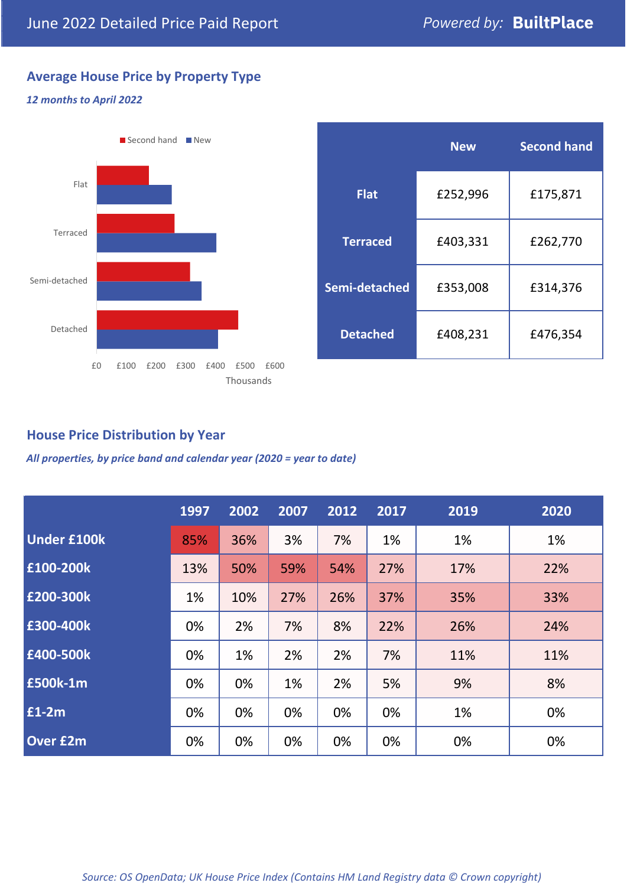## **Average House Price by Property Type**

#### *12 months to April 2022*



|                 | <b>New</b> | <b>Second hand</b> |  |  |
|-----------------|------------|--------------------|--|--|
| <b>Flat</b>     | £252,996   | £175,871           |  |  |
| <b>Terraced</b> | £403,331   | £262,770           |  |  |
| Semi-detached   | £353,008   | £314,376           |  |  |
| <b>Detached</b> | £408,231   | £476,354           |  |  |

## **House Price Distribution by Year**

*All properties, by price band and calendar year (2020 = year to date)*

|                    | 1997 | 2002 | 2007 | 2012 | 2017 | 2019 | 2020 |
|--------------------|------|------|------|------|------|------|------|
| <b>Under £100k</b> | 85%  | 36%  | 3%   | 7%   | 1%   | 1%   | 1%   |
| £100-200k          | 13%  | 50%  | 59%  | 54%  | 27%  | 17%  | 22%  |
| E200-300k          | 1%   | 10%  | 27%  | 26%  | 37%  | 35%  | 33%  |
| £300-400k          | 0%   | 2%   | 7%   | 8%   | 22%  | 26%  | 24%  |
| £400-500k          | 0%   | 1%   | 2%   | 2%   | 7%   | 11%  | 11%  |
| <b>£500k-1m</b>    | 0%   | 0%   | 1%   | 2%   | 5%   | 9%   | 8%   |
| £1-2m              | 0%   | 0%   | 0%   | 0%   | 0%   | 1%   | 0%   |
| <b>Over £2m</b>    | 0%   | 0%   | 0%   | 0%   | 0%   | 0%   | 0%   |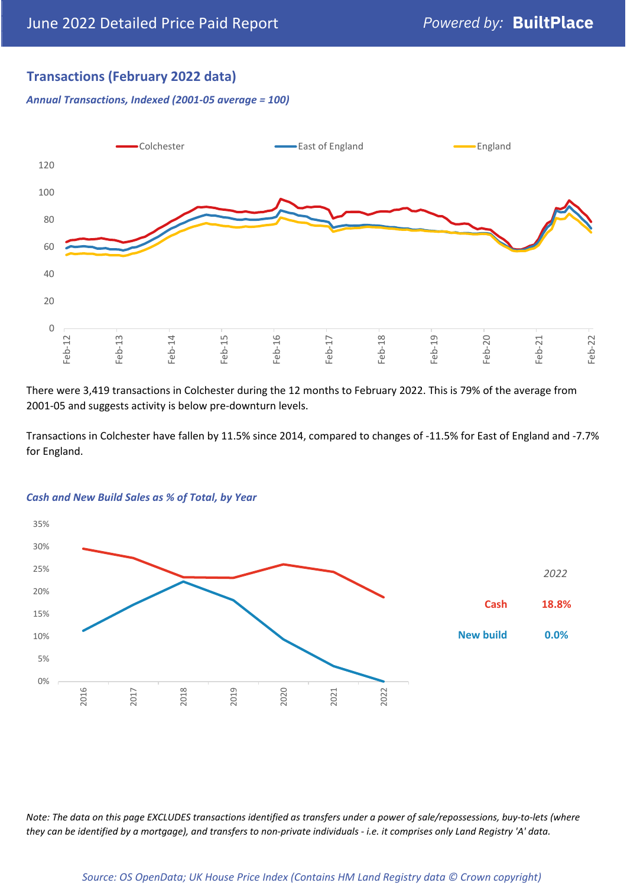## **Transactions (February 2022 data)**

*Annual Transactions, Indexed (2001-05 average = 100)*



There were 3,419 transactions in Colchester during the 12 months to February 2022. This is 79% of the average from 2001-05 and suggests activity is below pre-downturn levels.

Transactions in Colchester have fallen by 11.5% since 2014, compared to changes of -11.5% for East of England and -7.7% for England.



#### *Cash and New Build Sales as % of Total, by Year*

*Note: The data on this page EXCLUDES transactions identified as transfers under a power of sale/repossessions, buy-to-lets (where they can be identified by a mortgage), and transfers to non-private individuals - i.e. it comprises only Land Registry 'A' data.*